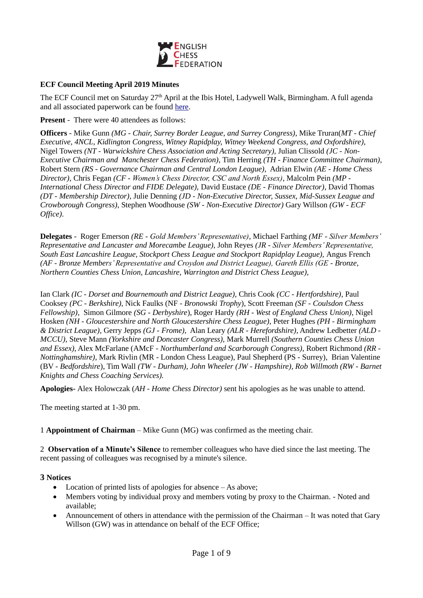

## **ECF Council Meeting April 2019 Minutes**

The ECF Council met on Saturday 27<sup>th</sup> April at the Ibis Hotel, Ladywell Walk, Birmingham. A full agenda and all associated paperwork can be found [here.](https://www.englishchess.org.uk/about/ecf-council-and-board/)

**Present** - There were 40 attendees as follows:

**Officers** - Mike Gunn *(MG - Chair, Surrey Border League, and Surrey Congress)*, Mike Truran(*MT* - *Chief Executive, 4NCL, Kidlington Congress, Witney Rapidplay, Witney Weekend Congress, and Oxfordshire)*, Nigel Towers *(NT - Warwickshire Chess Association and Acting Secretary),* Julian Clissold *(JC - Non-Executive Chairman and Manchester Chess Federation)*, Tim Herring *(TH - Finance Committee Chairman)*, Robert Stern *(RS - Governance Chairman and Central London League)*, Adrian Elwin *(AE - Home Chess Director),* Chris Fegan *(CF - Women's Chess Director, CSC and North Essex)*, Malcolm Pein *(MP - International Chess Director and FIDE Delegate),* David Eustace *(DE - Finance Director)*, David Thomas *(DT - Membership Director)*, Julie Denning *(JD - Non-Executive Director, Sussex, Mid-Sussex League and Crowborough Congress)*, Stephen Woodhouse *(SW - Non-Executive Director)* Gary Willson *(GW - ECF Office)*.

**Delegates** - Roger Emerson *(RE - Gold Members' Representative)*, Michael Farthing *(MF - Silver Members' Representative and Lancaster and Morecambe League)*, John Reyes *(JR - Silver Members' Representative, South East Lancashire League, Stockport Chess League and Stockport Rapidplay League),* Angus French *(AF - Bronze Members' Representative and Croydon and District League), Gareth Ellis (GE - Bronze, Northern Counties Chess Union, Lancashire, Warrington and District Chess League),*

Ian Clark *(IC - Dorset and Bournemouth and District League),* Chris Cook *(CC - Hertfordshire)*, Paul Cooksey *(PC - Berkshire)*, Nick Faulks (NF - *Bronowski Trophy*), Scott Freeman *(SF - Coulsdon Chess Fellowship)*, Simon Gilmore *(SG - Derbyshire*), Roger Hardy *(RH - West of England Chess Union)*, Nigel Hosken *(NH - Gloucestershire and North Gloucestershire Chess League)*, Peter Hughes *(PH - Birmingham & District League),* Gerry Jepps *(GJ - Frome),* Alan Leary *(ALR - Herefordshire)*, Andrew Ledbetter *(ALD - MCCU)*, Steve Mann *(Yorkshire and Doncaster Congress)*, Mark Murrell *(Southern Counties Chess Union and Essex)*, Alex McFarlane (AMcF - *Northumberland and Scarborough Congress)*, Robert Richmond *(RR - Nottinghamshire)*, Mark Rivlin (MR - London Chess League), Paul Shepherd (PS - Surrey), Brian Valentine (BV - *Bedfordshire*), Tim Wall *(TW - Durham), John Wheeler (JW - Hampshire), Rob Willmoth (RW - Barnet Knights and Chess Coaching Services).*

**Apologies-** Alex Holowczak (*AH - Home Chess Director)* sent his apologies as he was unable to attend.

The meeting started at 1-30 pm.

1 **Appointment of Chairman** – Mike Gunn (MG) was confirmed as the meeting chair.

2 **Observation of a Minute's Silence** to remember colleagues who have died since the last meeting. The recent passing of colleagues was recognised by a minute's silence.

#### **3 Notices**

- Location of printed lists of apologies for absence As above;
- Members voting by individual proxy and members voting by proxy to the Chairman. Noted and available;
- Announcement of others in attendance with the permission of the Chairman It was noted that Gary Willson (GW) was in attendance on behalf of the ECF Office;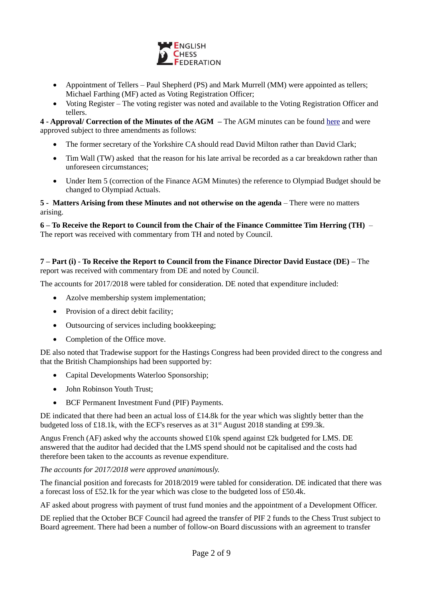

- Appointment of Tellers Paul Shepherd (PS) and Mark Murrell (MM) were appointed as tellers; Michael Farthing (MF) acted as Voting Registration Officer;
- Voting Register The voting register was noted and available to the Voting Registration Officer and tellers.

**4 - Approval/ Correction of the Minutes of the AGM –** The AGM minutes can be found [here](https://www.englishchess.org.uk/about/minutes/) and were approved subject to three amendments as follows:

- The former secretary of the Yorkshire CA should read David Milton rather than David Clark;
- Tim Wall (TW) asked that the reason for his late arrival be recorded as a car breakdown rather than unforeseen circumstances;
- Under Item 5 (correction of the Finance AGM Minutes) the reference to Olympiad Budget should be changed to Olympiad Actuals.

### **5 - Matters Arising from these Minutes and not otherwise on the agenda** – There were no matters arising.

**6 – To Receive the Report to Council from the Chair of the Finance Committee Tim Herring (TH)** – The report was received with commentary from TH and noted by Council.

# **7 – Part (i) - To Receive the Report to Council from the Finance Director David Eustace (DE) –** The report was received with commentary from DE and noted by Council.

The accounts for 2017/2018 were tabled for consideration. DE noted that expenditure included:

- Azolve membership system implementation;
- Provision of a direct debit facility;
- Outsourcing of services including bookkeeping;
- Completion of the Office move.

DE also noted that Tradewise support for the Hastings Congress had been provided direct to the congress and that the British Championships had been supported by:

- Capital Developments Waterloo Sponsorship;
- John Robinson Youth Trust:
- BCF Permanent Investment Fund (PIF) Payments.

DE indicated that there had been an actual loss of £14.8k for the year which was slightly better than the budgeted loss of £18.1k, with the ECF's reserves as at  $31<sup>st</sup>$  August 2018 standing at £99.3k.

Angus French (AF) asked why the accounts showed £10k spend against £2k budgeted for LMS. DE answered that the auditor had decided that the LMS spend should not be capitalised and the costs had therefore been taken to the accounts as revenue expenditure.

#### *The accounts for 2017/2018 were approved unanimously.*

The financial position and forecasts for 2018/2019 were tabled for consideration. DE indicated that there was a forecast loss of £52.1k for the year which was close to the budgeted loss of £50.4k.

AF asked about progress with payment of trust fund monies and the appointment of a Development Officer.

DE replied that the October BCF Council had agreed the transfer of PIF 2 funds to the Chess Trust subject to Board agreement. There had been a number of follow-on Board discussions with an agreement to transfer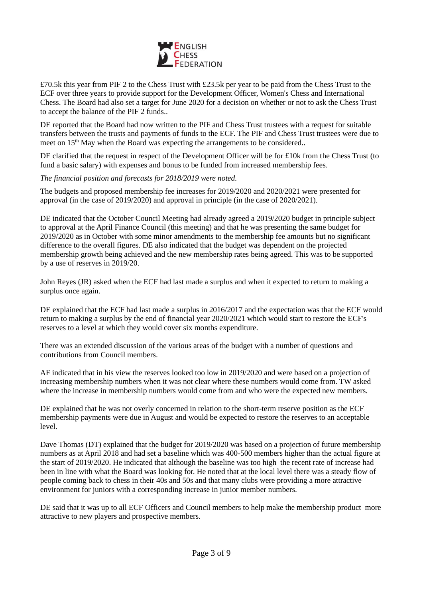

£70.5k this year from PIF 2 to the Chess Trust with £23.5k per year to be paid from the Chess Trust to the ECF over three years to provide support for the Development Officer, Women's Chess and International Chess. The Board had also set a target for June 2020 for a decision on whether or not to ask the Chess Trust to accept the balance of the PIF 2 funds..

DE reported that the Board had now written to the PIF and Chess Trust trustees with a request for suitable transfers between the trusts and payments of funds to the ECF. The PIF and Chess Trust trustees were due to meet on 15<sup>th</sup> May when the Board was expecting the arrangements to be considered..

DE clarified that the request in respect of the Development Officer will be for £10k from the Chess Trust (to fund a basic salary) with expenses and bonus to be funded from increased membership fees.

*The financial position and forecasts for 2018/2019 were noted.*

The budgets and proposed membership fee increases for 2019/2020 and 2020/2021 were presented for approval (in the case of 2019/2020) and approval in principle (in the case of 2020/2021).

DE indicated that the October Council Meeting had already agreed a 2019/2020 budget in principle subject to approval at the April Finance Council (this meeting) and that he was presenting the same budget for 2019/2020 as in October with some minor amendments to the membership fee amounts but no significant difference to the overall figures. DE also indicated that the budget was dependent on the projected membership growth being achieved and the new membership rates being agreed. This was to be supported by a use of reserves in 2019/20.

John Reyes (JR) asked when the ECF had last made a surplus and when it expected to return to making a surplus once again.

DE explained that the ECF had last made a surplus in 2016/2017 and the expectation was that the ECF would return to making a surplus by the end of financial year 2020/2021 which would start to restore the ECF's reserves to a level at which they would cover six months expenditure.

There was an extended discussion of the various areas of the budget with a number of questions and contributions from Council members.

AF indicated that in his view the reserves looked too low in 2019/2020 and were based on a projection of increasing membership numbers when it was not clear where these numbers would come from. TW asked where the increase in membership numbers would come from and who were the expected new members.

DE explained that he was not overly concerned in relation to the short-term reserve position as the ECF membership payments were due in August and would be expected to restore the reserves to an acceptable level.

Dave Thomas (DT) explained that the budget for 2019/2020 was based on a projection of future membership numbers as at April 2018 and had set a baseline which was 400-500 members higher than the actual figure at the start of 2019/2020. He indicated that although the baseline was too high the recent rate of increase had been in line with what the Board was looking for. He noted that at the local level there was a steady flow of people coming back to chess in their 40s and 50s and that many clubs were providing a more attractive environment for juniors with a corresponding increase in junior member numbers.

DE said that it was up to all ECF Officers and Council members to help make the membership product more attractive to new players and prospective members.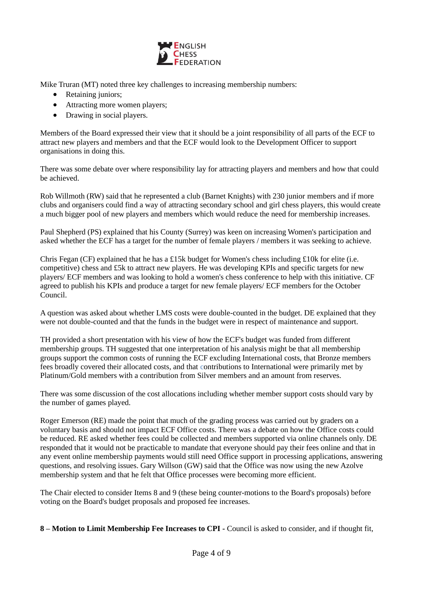

Mike Truran (MT) noted three key challenges to increasing membership numbers:

- Retaining juniors;
- Attracting more women players;
- Drawing in social players.

Members of the Board expressed their view that it should be a joint responsibility of all parts of the ECF to attract new players and members and that the ECF would look to the Development Officer to support organisations in doing this.

There was some debate over where responsibility lay for attracting players and members and how that could be achieved.

Rob Willmoth (RW) said that he represented a club (Barnet Knights) with 230 junior members and if more clubs and organisers could find a way of attracting secondary school and girl chess players, this would create a much bigger pool of new players and members which would reduce the need for membership increases.

Paul Shepherd (PS) explained that his County (Surrey) was keen on increasing Women's participation and asked whether the ECF has a target for the number of female players / members it was seeking to achieve.

Chris Fegan (CF) explained that he has a £15k budget for Women's chess including £10k for elite (i.e. competitive) chess and £5k to attract new players. He was developing KPIs and specific targets for new players/ ECF members and was looking to hold a women's chess conference to help with this initiative. CF agreed to publish his KPIs and produce a target for new female players/ ECF members for the October Council.

A question was asked about whether LMS costs were double-counted in the budget. DE explained that they were not double-counted and that the funds in the budget were in respect of maintenance and support.

TH provided a short presentation with his view of how the ECF's budget was funded from different membership groups. TH suggested that one interpretation of his analysis might be that all membership groups support the common costs of running the ECF excluding International costs, that Bronze members fees broadly covered their allocated costs, and that contributions to International were primarily met by Platinum/Gold members with a contribution from Silver members and an amount from reserves.

There was some discussion of the cost allocations including whether member support costs should vary by the number of games played.

Roger Emerson (RE) made the point that much of the grading process was carried out by graders on a voluntary basis and should not impact ECF Office costs. There was a debate on how the Office costs could be reduced. RE asked whether fees could be collected and members supported via online channels only. DE responded that it would not be practicable to mandate that everyone should pay their fees online and that in any event online membership payments would still need Office support in processing applications, answering questions, and resolving issues. Gary Willson (GW) said that the Office was now using the new Azolve membership system and that he felt that Office processes were becoming more efficient.

The Chair elected to consider Items 8 and 9 (these being counter-motions to the Board's proposals) before voting on the Board's budget proposals and proposed fee increases.

**8 – Motion to Limit Membership Fee Increases to CPI -** Council is asked to consider, and if thought fit,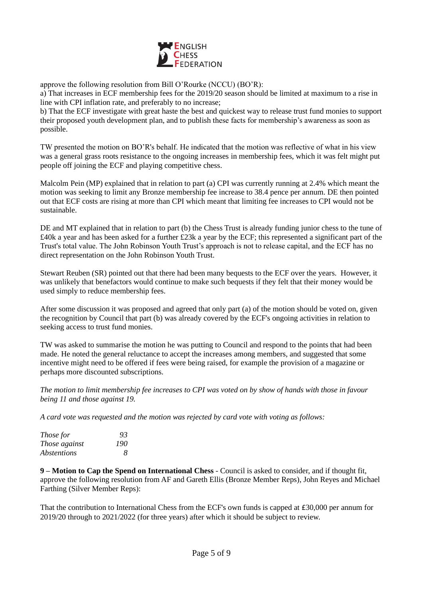

approve the following resolution from Bill O'Rourke (NCCU) (BO'R):

a) That increases in ECF membership fees for the 2019/20 season should be limited at maximum to a rise in line with CPI inflation rate, and preferably to no increase;

b) That the ECF investigate with great haste the best and quickest way to release trust fund monies to support their proposed youth development plan, and to publish these facts for membership's awareness as soon as possible.

TW presented the motion on BO'R's behalf. He indicated that the motion was reflective of what in his view was a general grass roots resistance to the ongoing increases in membership fees, which it was felt might put people off joining the ECF and playing competitive chess.

Malcolm Pein (MP) explained that in relation to part (a) CPI was currently running at 2.4% which meant the motion was seeking to limit any Bronze membership fee increase to 38.4 pence per annum. DE then pointed out that ECF costs are rising at more than CPI which meant that limiting fee increases to CPI would not be sustainable.

DE and MT explained that in relation to part (b) the Chess Trust is already funding junior chess to the tune of £40k a year and has been asked for a further £23k a year by the ECF; this represented a significant part of the Trust's total value. The John Robinson Youth Trust's approach is not to release capital, and the ECF has no direct representation on the John Robinson Youth Trust.

Stewart Reuben (SR) pointed out that there had been many bequests to the ECF over the years. However, it was unlikely that benefactors would continue to make such bequests if they felt that their money would be used simply to reduce membership fees.

After some discussion it was proposed and agreed that only part (a) of the motion should be voted on, given the recognition by Council that part (b) was already covered by the ECF's ongoing activities in relation to seeking access to trust fund monies.

TW was asked to summarise the motion he was putting to Council and respond to the points that had been made. He noted the general reluctance to accept the increases among members, and suggested that some incentive might need to be offered if fees were being raised, for example the provision of a magazine or perhaps more discounted subscriptions.

*The motion to limit membership fee increases to CPI was voted on by show of hands with those in favour being 11 and those against 19.* 

*A card vote was requested and the motion was rejected by card vote with voting as follows:*

| Those for          | 93           |
|--------------------|--------------|
| Those against      | 190          |
| <i>Abstentions</i> | <sup>8</sup> |

**9 – Motion to Cap the Spend on International Chess** - Council is asked to consider, and if thought fit, approve the following resolution from AF and Gareth Ellis (Bronze Member Reps), John Reyes and Michael Farthing (Silver Member Reps):

That the contribution to International Chess from the ECF's own funds is capped at £30,000 per annum for 2019/20 through to 2021/2022 (for three years) after which it should be subject to review.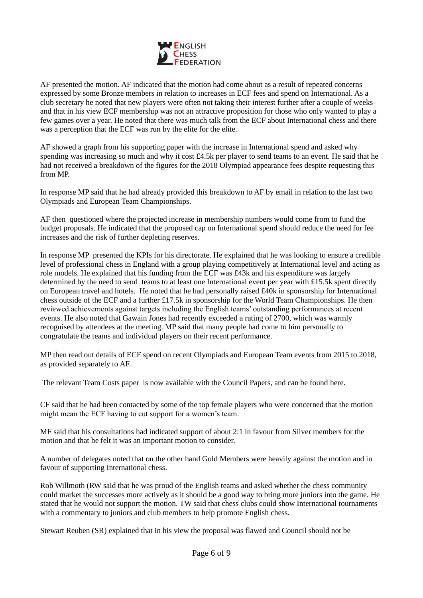

AF presented the motion. AF indicated that the motion had come about as a result of repeated concerns expressed by some Bronze members in relation to increases in ECF fees and spend on International. As a club secretary he noted that new players were often not taking their interest further after a couple of weeks and that in his view ECF membership was not an attractive proposition for those who only wanted to play a few games over a year. He noted that there was much talk from the ECF about International chess and there was a perception that the ECF was run by the elite for the elite.

AF showed a graph from his supporting paper with the increase in International spend and asked why spending was increasing so much and why it cost £4.5k per player to send teams to an event. He said that he had not received a breakdown of the figures for the 2018 Olympiad appearance fees despite requesting this from MP.

In response MP said that he had already provided this breakdown to AF by email in relation to the last two Olympiads and European Team Championships.

AF then questioned where the projected increase in membership numbers would come from to fund the budget proposals. He indicated that the proposed cap on International spend should reduce the need for fee increases and the risk of further depleting reserves.

In response MP presented the KPIs for his directorate. He explained that he was looking to ensure a credible level of professional chess in England with a group playing competitively at International level and acting as role models. He explained that his funding from the ECF was £43k and his expenditure was largely determined by the need to send teams to at least one International event per year with £15.5k spent directly on European travel and hotels. He noted that he had personally raised £40k in sponsorship for International chess outside of the ECF and a further £17.5k in sponsorship for the World Team Championships. He then reviewed achievements against targets including the English teams' outstanding performances at recent events. He also noted that Gawain Jones had recently exceeded a rating of 2700, which was warmly recognised by attendees at the meeting. MP said that many people had come to him personally to congratulate the teams and individual players on their recent performance.

MP then read out details of ECF spend on recent Olympiads and European Team events from 2015 to 2018, as provided separately to AF.

The relevant Team Costs paper is now available with the Council Papers, and can be found [here.](https://www.englishchess.org.uk/about/ecf-council-and-board/)

CF said that he had been contacted by some of the top female players who were concerned that the motion might mean the ECF having to cut support for a women's team.

MF said that his consultations had indicated support of about 2:1 in favour from Silver members for the motion and that he felt it was an important motion to consider.

A number of delegates noted that on the other hand Gold Members were heavily against the motion and in favour of supporting International chess.

Rob Willmoth (RW said that he was proud of the English teams and asked whether the chess community could market the successes more actively as it should be a good way to bring more juniors into the game. He stated that he would not support the motion. TW said that chess clubs could show International tournaments with a commentary to juniors and club members to help promote English chess.

Stewart Reuben (SR) explained that in his view the proposal was flawed and Council should not be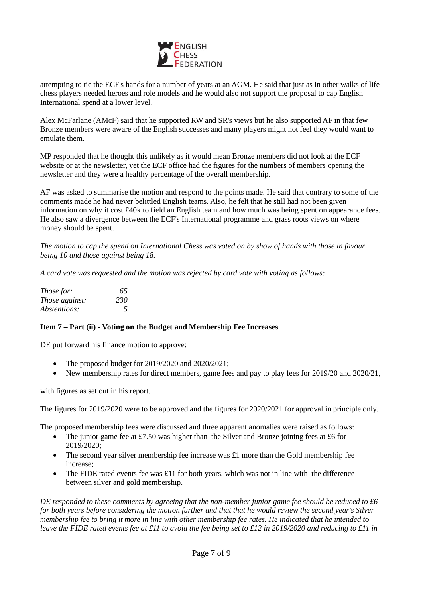

attempting to tie the ECF's hands for a number of years at an AGM. He said that just as in other walks of life chess players needed heroes and role models and he would also not support the proposal to cap English International spend at a lower level.

Alex McFarlane (AMcF) said that he supported RW and SR's views but he also supported AF in that few Bronze members were aware of the English successes and many players might not feel they would want to emulate them.

MP responded that he thought this unlikely as it would mean Bronze members did not look at the ECF website or at the newsletter, yet the ECF office had the figures for the numbers of members opening the newsletter and they were a healthy percentage of the overall membership.

AF was asked to summarise the motion and respond to the points made. He said that contrary to some of the comments made he had never belittled English teams. Also, he felt that he still had not been given information on why it cost £40k to field an English team and how much was being spent on appearance fees. He also saw a divergence between the ECF's International programme and grass roots views on where money should be spent.

*The motion to cap the spend on International Chess was voted on by show of hands with those in favour being 10 and those against being 18.*

*A card vote was requested and the motion was rejected by card vote with voting as follows:*

| <i>Those for:</i>   | 65            |
|---------------------|---------------|
| Those against:      | 230           |
| <i>Abstentions:</i> | $\mathcal{L}$ |

#### **Item 7 – Part (ii) - Voting on the Budget and Membership Fee Increases**

DE put forward his finance motion to approve:

- The proposed budget for 2019/2020 and 2020/2021;
- New membership rates for direct members, game fees and pay to play fees for 2019/20 and 2020/21,

with figures as set out in his report.

The figures for 2019/2020 were to be approved and the figures for 2020/2021 for approval in principle only.

The proposed membership fees were discussed and three apparent anomalies were raised as follows:

- The junior game fee at £7.50 was higher than the Silver and Bronze joining fees at £6 for 2019/2020;
- The second year silver membership fee increase was  $\pounds 1$  more than the Gold membership fee increase;
- The FIDE rated events fee was £11 for both years, which was not in line with the difference between silver and gold membership.

*DE responded to these comments by agreeing that the non-member junior game fee should be reduced to £6 for both years before considering the motion further and that that he would review the second year's Silver membership fee to bring it more in line with other membership fee rates. He indicated that he intended to leave the FIDE rated events fee at £11 to avoid the fee being set to £12 in 2019/2020 and reducing to £11 in*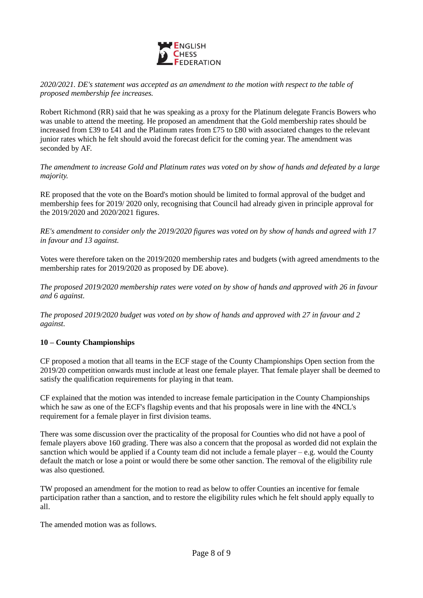

*2020/2021. DE's statement was accepted as an amendment to the motion with respect to the table of proposed membership fee increases.*

Robert Richmond (RR) said that he was speaking as a proxy for the Platinum delegate Francis Bowers who was unable to attend the meeting. He proposed an amendment that the Gold membership rates should be increased from £39 to £41 and the Platinum rates from £75 to £80 with associated changes to the relevant junior rates which he felt should avoid the forecast deficit for the coming year. The amendment was seconded by AF.

*The amendment to increase Gold and Platinum rates was voted on by show of hands and defeated by a large majority.*

RE proposed that the vote on the Board's motion should be limited to formal approval of the budget and membership fees for 2019/ 2020 only, recognising that Council had already given in principle approval for the 2019/2020 and 2020/2021 figures.

*RE's amendment to consider only the 2019/2020 figures was voted on by show of hands and agreed with 17 in favour and 13 against.*

Votes were therefore taken on the 2019/2020 membership rates and budgets (with agreed amendments to the membership rates for 2019/2020 as proposed by DE above).

*The proposed 2019/2020 membership rates were voted on by show of hands and approved with 26 in favour and 6 against.* 

*The proposed 2019/2020 budget was voted on by show of hands and approved with 27 in favour and 2 against.*

## **10 – County Championships**

CF proposed a motion that all teams in the ECF stage of the County Championships Open section from the 2019/20 competition onwards must include at least one female player. That female player shall be deemed to satisfy the qualification requirements for playing in that team.

CF explained that the motion was intended to increase female participation in the County Championships which he saw as one of the ECF's flagship events and that his proposals were in line with the 4NCL's requirement for a female player in first division teams.

There was some discussion over the practicality of the proposal for Counties who did not have a pool of female players above 160 grading. There was also a concern that the proposal as worded did not explain the sanction which would be applied if a County team did not include a female player – e.g. would the County default the match or lose a point or would there be some other sanction. The removal of the eligibility rule was also questioned.

TW proposed an amendment for the motion to read as below to offer Counties an incentive for female participation rather than a sanction, and to restore the eligibility rules which he felt should apply equally to all.

The amended motion was as follows.